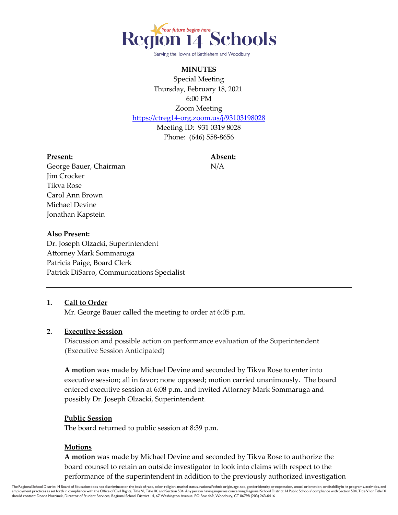

Serving the Towns of Bethlehem and Woodbury

## **MINUTES**

Special Meeting Thursday, February 18, 2021 6:00 PM Zoom Meeting

<https://ctreg14-org.zoom.us/j/93103198028>

Meeting ID: 931 0319 8028 Phone: (646) 558-8656

#### **Present: Absent:**

George Bauer, Chairman N/A Jim Crocker Tikva Rose Carol Ann Brown Michael Devine Jonathan Kapstein

## **Also Present:**

Dr. Joseph Olzacki, Superintendent Attorney Mark Sommaruga Patricia Paige, Board Clerk Patrick DiSarro, Communications Specialist

## **1. Call to Order**

Mr. George Bauer called the meeting to order at 6:05 p.m.

## **2. Executive Session**

 Discussion and possible action on performance evaluation of the Superintendent (Executive Session Anticipated)

**A motion** was made by Michael Devine and seconded by Tikva Rose to enter into executive session; all in favor; none opposed; motion carried unanimously. The board entered executive session at 6:08 p.m. and invited Attorney Mark Sommaruga and possibly Dr. Joseph Olzacki, Superintendent.

## **Public Session**

The board returned to public session at 8:39 p.m.

## **Motions**

**A motion** was made by Michael Devine and seconded by Tikva Rose to authorize the board counsel to retain an outside investigator to look into claims with respect to the performance of the superintendent in addition to the previously authorized investigation